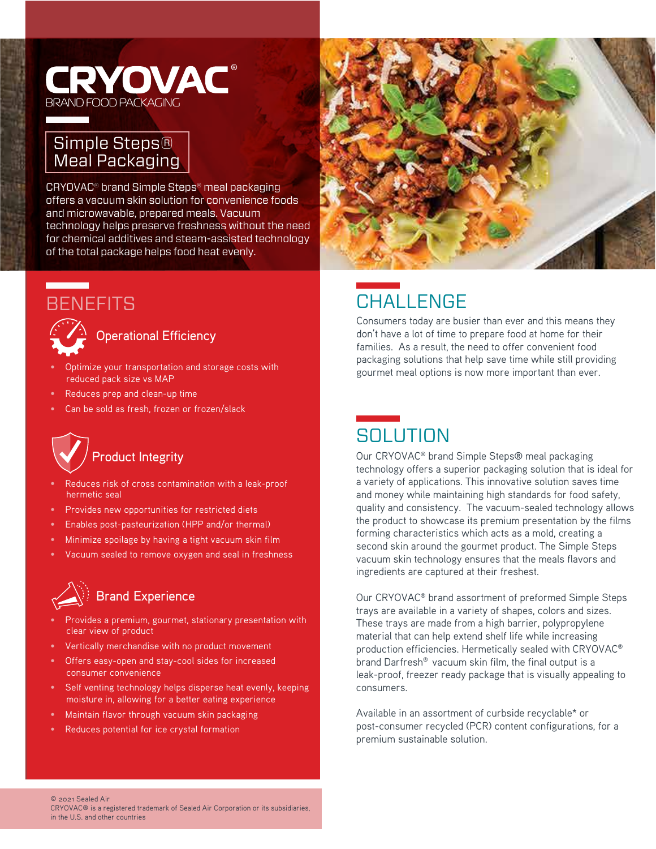#### **CRYOVAC®** BRAND FOOD PACKAGINC

#### Simple Steps® Meal Packaging

CRYOVAC® brand Simple Steps® meal packaging offers a vacuum skin solution for convenience foods and microwavable, prepared meals. Vacuum technology helps preserve freshness without the need for chemical additives and steam-assisted technology of the total package helps food heat evenly.

### **BENEFITS**



 $\hat{C}$  Operational Efficiency

- Optimize your transportation and storage costs with reduced pack size vs MAP
- Reduces prep and clean-up time
- Can be sold as fresh, frozen or frozen/slack

# Product Integrity

- Reduces risk of cross contamination with a leak-proof hermetic seal
- Provides new opportunities for restricted diets
- Enables post-pasteurization (HPP and/or thermal)
- Minimize spoilage by having a tight vacuum skin film
- Vacuum sealed to remove oxygen and seal in freshness

# Brand Experience

- Provides a premium, gourmet, stationary presentation with clear view of product
- Vertically merchandise with no product movement
- Offers easy-open and stay-cool sides for increased consumer convenience
- Self venting technology helps disperse heat evenly, keeping moisture in, allowing for a better eating experience
- Maintain flavor through vacuum skin packaging
- Reduces potential for ice crystal formation



## **CHALLENGE**

Consumers today are busier than ever and this means they don't have a lot of time to prepare food at home for their families. As a result, the need to offer convenient food packaging solutions that help save time while still providing gourmet meal options is now more important than ever.

#### **SOLUTION**

Our CRYOVAC® brand Simple Steps® meal packaging technology offers a superior packaging solution that is ideal for a variety of applications. This innovative solution saves time and money while maintaining high standards for food safety, quality and consistency. The vacuum-sealed technology allows the product to showcase its premium presentation by the films forming characteristics which acts as a mold, creating a second skin around the gourmet product. The Simple Steps vacuum skin technology ensures that the meals flavors and ingredients are captured at their freshest.

Our CRYOVAC® brand assortment of preformed Simple Steps trays are available in a variety of shapes, colors and sizes. These trays are made from a high barrier, polypropylene material that can help extend shelf life while increasing production efficiencies. Hermetically sealed with CRYOVAC® brand Darfresh® vacuum skin film, the final output is a leak-proof, freezer ready package that is visually appealing to consumers.

Available in an assortment of curbside recyclable\* or post-consumer recycled (PCR) content configurations, for a premium sustainable solution.

© 2021 Sealed Air

CRYOVAC® is a registered trademark of Sealed Air Corporation or its subsidiaries, in the U.S. and other countries